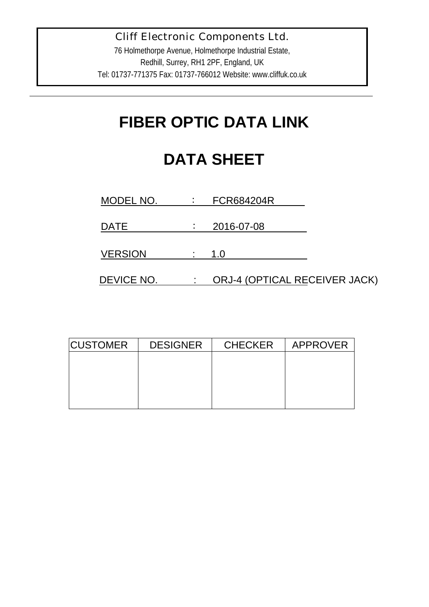76 Holmethorpe Avenue, Holmethorpe Industrial Estate, Redhill, Surrey, RH1 2PF, England, UK Tel: 01737-771375 Fax: 01737-766012 Website: www.cliffuk.co.uk

# **FIBER OPTIC DATA LINK**

# **DATA SHEET**

| MODEL NO.      | FCR684204R                           |
|----------------|--------------------------------------|
|                |                                      |
| DATE           | 2016-07-08                           |
|                |                                      |
| <b>VERSION</b> | 1.0                                  |
|                |                                      |
| DEVICE NO.     | <b>ORJ-4 (OPTICAL RECEIVER JACK)</b> |

| <b>CUSTOMER</b> | <b>DESIGNER</b> | <b>CHECKER</b> | APPROVER |
|-----------------|-----------------|----------------|----------|
|                 |                 |                |          |
|                 |                 |                |          |
|                 |                 |                |          |
|                 |                 |                |          |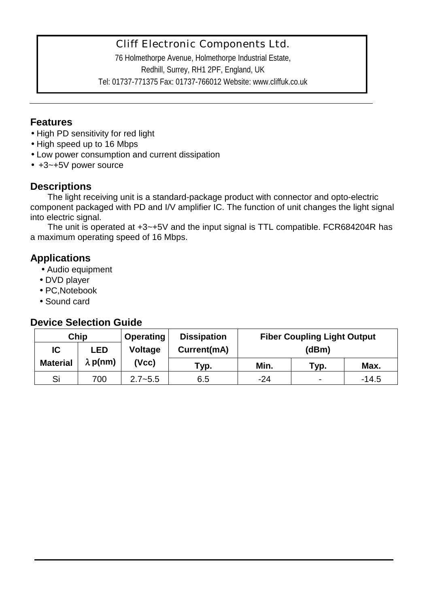76 Holmethorpe Avenue, Holmethorpe Industrial Estate, Redhill, Surrey, RH1 2PF, England, UK Tel: 01737-771375 Fax: 01737-766012 Website: www.cliffuk.co.uk

#### **Features**

- High PD sensitivity for red light
- High speed up to 16 Mbps
- Low power consumption and current dissipation
- +3~+5V power source

#### **Descriptions**

The light receiving unit is a standard-package product with connector and opto-electric component packaged with PD and I/V amplifier IC. The function of unit changes the light signal into electric signal.

The unit is operated at +3~+5V and the input signal is TTL compatible. FCR684204R has a maximum operating speed of 16 Mbps.

#### **Applications**

- Audio equipment
- DVD player
- PC,Notebook
- Sound card

#### **Device Selection Guide**

|                 | Chip            | <b>Operating</b> | <b>Dissipation</b> | <b>Fiber Coupling Light Output</b> |                          |         |
|-----------------|-----------------|------------------|--------------------|------------------------------------|--------------------------|---------|
| IC              | <b>LED</b>      | <b>Voltage</b>   | Current(mA)        | (dBm)                              |                          |         |
| <b>Material</b> | $\lambda$ p(nm) | (Vcc)            | Typ.               | Min.                               | Typ.                     | Max.    |
| Si              | 700             | $2.7 - 5.5$      | 6.5                | -24                                | $\overline{\phantom{0}}$ | $-14.5$ |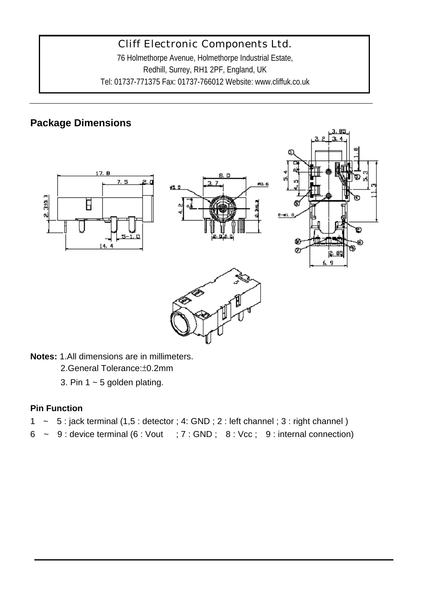76 Holmethorpe Avenue, Holmethorpe Industrial Estate, Redhill, Surrey, RH1 2PF, England, UK Tel: 01737-771375 Fax: 01737-766012 Website: www.cliffuk.co.uk

### **Package Dimensions**



**Notes:** 1.All dimensions are in millimeters.

2.General Tolerance:±0.2mm

3. Pin 1  $\sim$  5 golden plating.

#### **Pin Function**

- 1  $\sim$  5 : jack terminal (1,5 : detector ; 4: GND ; 2 : left channel ; 3 : right channel)
- $6 \sim 9$ : device terminal  $(6: Vout ; 7: GND ; 8: Vcc ; 9: internal connection)$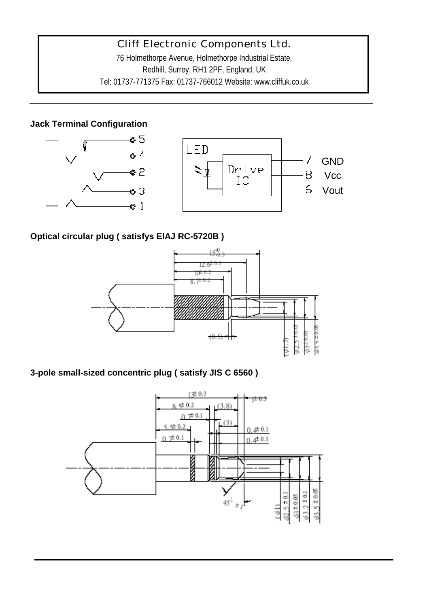76 Holmethorpe Avenue, Holmethorpe Industrial Estate, Redhill, Surrey, RH1 2PF, England, UK Tel: 01737-771375 Fax: 01737-766012 Website: www.cliffuk.co.uk

#### **Jack Terminal Configuration**



#### **Optical circular plug ( satisfys EIAJ RC-5720B )**



#### **3-pole small-sized concentric plug ( satisfy JIS C 6560 )**

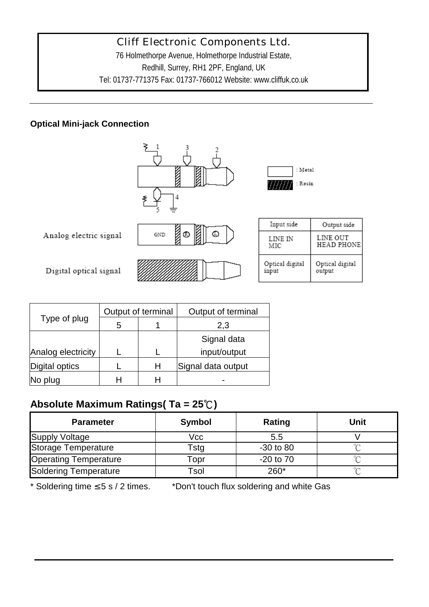76 Holmethorpe Avenue, Holmethorpe Industrial Estate, Redhill, Surrey, RH1 2PF, England, UK Tel: 01737-771375 Fax: 01737-766012 Website: www.cliffuk.co.uk

#### **Optical Mini-jack Connection**



|                    |   | Output of terminal | Output of terminal |  |  |
|--------------------|---|--------------------|--------------------|--|--|
| Type of plug       | 5 |                    | 2,3                |  |  |
|                    |   |                    | Signal data        |  |  |
| Analog electricity |   |                    | input/output       |  |  |
| Digital optics     |   | Н                  | Signal data output |  |  |
| No plug            |   |                    |                    |  |  |

# **Absolute Maximum Ratings( Ta = 25**℃**)**

| <b>Parameter</b>             | Symbol | Rating        | Unit |
|------------------------------|--------|---------------|------|
| <b>Supply Voltage</b>        | Vcc    | 5.5           |      |
| Storage Temperature          | Гstg   | $-30$ to $80$ |      |
| <b>Operating Temperature</b> | ⊺opr   | $-20$ to $70$ |      |
| Soldering Temperature        | Γsol   | 260*          | ∘∼   |

\* Soldering time ≤ 5 s / 2 times. \*Don't touch flux soldering and white Gas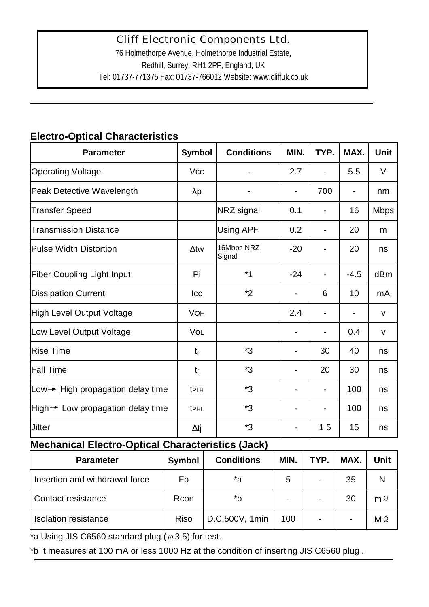# **Electro-Optical Characteristics**

| <b>Cliff Electronic Components Ltd.</b><br>76 Holmethorpe Avenue, Holmethorpe Industrial Estate,<br>Redhill, Surrey, RH1 2PF, England, UK<br>Tel: 01737-771375 Fax: 01737-766012 Website: www.cliffuk.co.uk |                  |            |                      |       |      |        |              |
|-------------------------------------------------------------------------------------------------------------------------------------------------------------------------------------------------------------|------------------|------------|----------------------|-------|------|--------|--------------|
| <b>Electro-Optical Characteristics</b>                                                                                                                                                                      |                  |            |                      |       |      |        |              |
| <b>Parameter</b>                                                                                                                                                                                            | <b>Symbol</b>    |            | <b>Conditions</b>    | MIN.  | TYP. | MAX.   | Unit         |
| <b>Operating Voltage</b>                                                                                                                                                                                    | <b>Vcc</b>       |            |                      | 2.7   |      | 5.5    | V            |
| Peak Detective Wavelength                                                                                                                                                                                   | $\lambda p$      |            |                      |       | 700  |        | nm           |
| <b>Transfer Speed</b>                                                                                                                                                                                       |                  |            | NRZ signal           | 0.1   |      | 16     | <b>Mbps</b>  |
| <b>Transmission Distance</b>                                                                                                                                                                                |                  |            | Using APF            | 0.2   |      | 20     | m            |
| <b>Pulse Width Distortion</b>                                                                                                                                                                               | $\Delta$ tw      |            | 16Mbps NRZ<br>Signal | $-20$ |      | 20     | ns           |
| <b>Fiber Coupling Light Input</b>                                                                                                                                                                           | Pi               |            | $*1$                 | $-24$ |      | $-4.5$ | dBm          |
| <b>Dissipation Current</b>                                                                                                                                                                                  | Icc              |            | *2                   |       | 6    | 10     | mA           |
| <b>High Level Output Voltage</b>                                                                                                                                                                            |                  | <b>VOH</b> |                      | 2.4   |      |        | $\mathsf{V}$ |
| Low Level Output Voltage                                                                                                                                                                                    | Vol              |            |                      |       |      | 0.4    | v            |
| <b>Rise Time</b>                                                                                                                                                                                            | $t_{r}$          |            | *3                   |       | 30   | 40     | ns           |
| <b>Fall Time</b>                                                                                                                                                                                            | $t_{\rm f}$      |            | *3                   |       | 20   | 30     | ns           |
| Low $\rightarrow$ High propagation delay time                                                                                                                                                               | t <sub>PLH</sub> |            | *3                   |       |      | 100    | ns           |
| High  igh  beta Low propagation delay time                                                                                                                                                                  | <b>t</b> PHL     |            | *3                   |       |      | 100    | ns           |
| <b>Jitter</b>                                                                                                                                                                                               | $\Delta t$ j     |            | *3                   |       | 1.5  | 15     | ns           |
| <b>Mechanical Electro-Optical Characteristics (Jack)</b>                                                                                                                                                    |                  |            |                      |       |      |        |              |
| <b>Parameter</b>                                                                                                                                                                                            | <b>Symbol</b>    |            | <b>Conditions</b>    | MIN.  | TYP. | MAX.   | Unit         |
| Insertion and withdrawal force                                                                                                                                                                              | Fp               |            | *a                   | 5     |      | 35     | N            |
| Contact resistance                                                                                                                                                                                          | Rcon             |            | *b                   |       |      | 30     | $m \Omega$   |
| <b>Isolation resistance</b>                                                                                                                                                                                 | <b>Riso</b>      |            | D.C.500V, 1min       | 100   |      |        | $M \Omega$   |
| *a Using JIS C6560 standard plug ( $\varphi$ 3.5) for test.<br>*b It measures at 100 mA or less 1000 Hz at the condition of inserting JIS C6560 plug.                                                       |                  |            |                      |       |      |        |              |

### **Mechanical Electro-Optical Characteristics (Jack)**

| <b>Parameter</b>               | <b>Symbol</b> | <b>Conditions</b> | MIN.           | TYP.                     | MAX. | Unit       |
|--------------------------------|---------------|-------------------|----------------|--------------------------|------|------------|
| Insertion and withdrawal force | Fp            | *a                | 5              | $\blacksquare$           | 35   | N          |
| Contact resistance             | Rcon          | *b                | $\blacksquare$ | $\overline{\phantom{0}}$ | 30   | $m \Omega$ |
| <b>Isolation resistance</b>    | <b>Riso</b>   | D.C.500V, 1min    | 100            |                          |      | $M \Omega$ |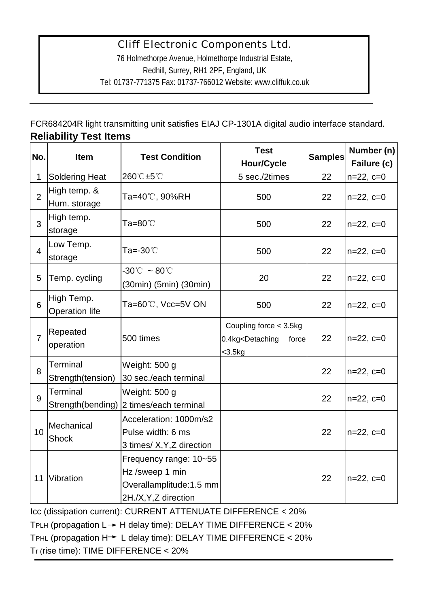|                                                                                                                               | <b>Cliff Electronic Components Ltd.</b><br>76 Holmethorpe Avenue, Holmethorpe Industrial Estate,<br>Redhill, Surrey, RH1 2PF, England, UK<br>Tel: 01737-771375 Fax: 01737-766012 Website: www.cliffuk.co.uk |                                                                                                |                                                                                                            |                |                           |  |  |
|-------------------------------------------------------------------------------------------------------------------------------|-------------------------------------------------------------------------------------------------------------------------------------------------------------------------------------------------------------|------------------------------------------------------------------------------------------------|------------------------------------------------------------------------------------------------------------|----------------|---------------------------|--|--|
| FCR684204R light transmitting unit satisfies EIAJ CP-1301A digital audio interface standard.<br><b>Reliability Test Items</b> |                                                                                                                                                                                                             |                                                                                                |                                                                                                            |                |                           |  |  |
| No.                                                                                                                           | <b>Item</b>                                                                                                                                                                                                 | <b>Test Condition</b>                                                                          | <b>Test</b><br><b>Hour/Cycle</b>                                                                           | <b>Samples</b> | Number (n)<br>Failure (c) |  |  |
| 1                                                                                                                             | <b>Soldering Heat</b>                                                                                                                                                                                       | 260℃±5℃                                                                                        | 5 sec./2times                                                                                              | 22             | $n=22, c=0$               |  |  |
| $\overline{2}$                                                                                                                | High temp. &<br>Hum. storage                                                                                                                                                                                | Ta=40℃, 90%RH                                                                                  | 500                                                                                                        | 22             | $n=22, c=0$               |  |  |
| 3                                                                                                                             | High temp.<br>storage                                                                                                                                                                                       | Ta=80℃                                                                                         | 500                                                                                                        | 22             | $n=22, c=0$               |  |  |
| $\overline{4}$                                                                                                                | Low Temp.<br>storage                                                                                                                                                                                        | Ta=-30℃                                                                                        | 500                                                                                                        | 22             | $n=22, c=0$               |  |  |
| 5                                                                                                                             | Temp. cycling                                                                                                                                                                                               | $-30^{\circ}\text{C}~\sim80^{\circ}\text{C}$<br>(30min) (5min) (30min)                         | 20                                                                                                         | 22             | $n=22, c=0$               |  |  |
| 6                                                                                                                             | High Temp.<br><b>Operation life</b>                                                                                                                                                                         | Ta=60℃, Vcc=5V ON                                                                              | 500                                                                                                        | 22             | $n=22, c=0$               |  |  |
| $\overline{7}$                                                                                                                | Repeated<br>operation                                                                                                                                                                                       | 500 times                                                                                      | Coupling force < 3.5kg<br>0.4kg <detaching<br>force<br/><math>&lt;</math>3.5<math>kg</math></detaching<br> | 22             | $n=22, c=0$               |  |  |
| 8                                                                                                                             | Terminal<br>Strength(tension)                                                                                                                                                                               | Weight: 500 g<br>30 sec./each terminal                                                         |                                                                                                            | 22             | $n=22, c=0$               |  |  |
| 9                                                                                                                             | Terminal                                                                                                                                                                                                    | Weight: 500 g<br>Strength(bending) 2 times/each terminal                                       |                                                                                                            | 22             | $n=22, c=0$               |  |  |
| 10                                                                                                                            | Mechanical<br>Shock                                                                                                                                                                                         | Acceleration: 1000m/s2<br>Pulse width: 6 ms<br>3 times/ X, Y, Z direction                      |                                                                                                            | 22             | $n=22, c=0$               |  |  |
| 11                                                                                                                            | Vibration                                                                                                                                                                                                   | Frequency range: 10~55<br>Hz /sweep 1 min<br>Overallamplitude: 1.5 mm<br>2H./X, Y, Z direction |                                                                                                            | 22             | $n=22, c=0$               |  |  |
|                                                                                                                               |                                                                                                                                                                                                             | Icc (dissipation current): CURRENT ATTENUATE DIFFERENCE < 20%                                  |                                                                                                            |                |                           |  |  |
|                                                                                                                               |                                                                                                                                                                                                             | TPLH (propagation $L \rightarrow H$ delay time): DELAY TIME DIFFERENCE < 20%                   |                                                                                                            |                |                           |  |  |
|                                                                                                                               |                                                                                                                                                                                                             | TPHL (propagation H → L delay time): DELAY TIME DIFFERENCE < 20%                               |                                                                                                            |                |                           |  |  |
|                                                                                                                               | Tr (rise time): TIME DIFFERENCE < 20%                                                                                                                                                                       |                                                                                                |                                                                                                            |                |                           |  |  |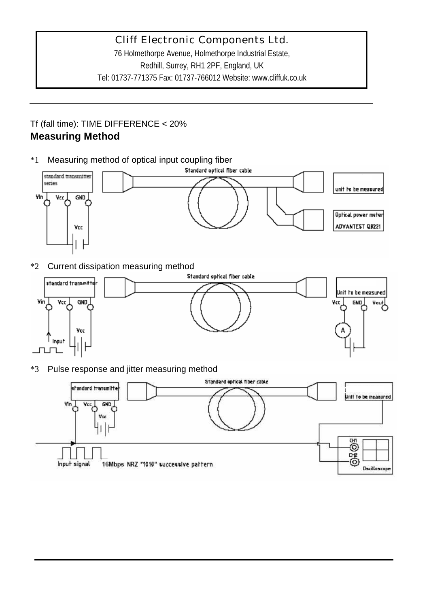76 Holmethorpe Avenue, Holmethorpe Industrial Estate, Redhill, Surrey, RH1 2PF, England, UK Tel: 01737-771375 Fax: 01737-766012 Website: www.cliffuk.co.uk

#### Tf (fall time): TIME DIFFERENCE < 20% **Measuring Method**

\*1 Measuring method of optical input coupling fiber



\*2 Current dissipation measuring method



\*3 Pulse response and jitter measuring method

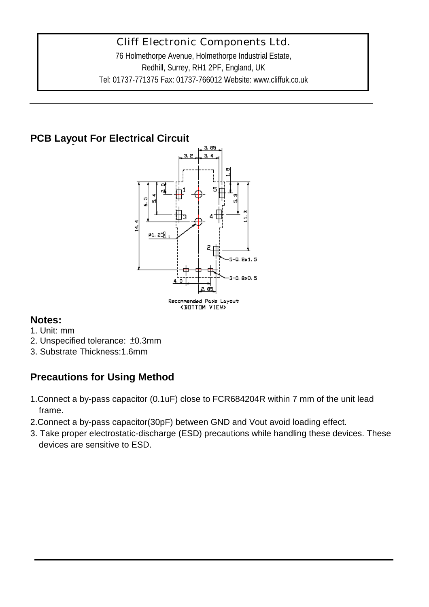76 Holmethorpe Avenue, Holmethorpe Industrial Estate, Redhill, Surrey, RH1 2PF, England, UK Tel: 01737-771375 Fax: 01737-766012 Website: www.cliffuk.co.uk

# **PCB Layout For Electrical Circuit**



### **Notes:**

- 1. Unit: mm
- 2. Unspecified tolerance: ±0.3mm
- 3. Substrate Thickness:1.6mm

# **Precautions for Using Method**

- 1.Connect a by-pass capacitor (0.1uF) close to FCR684204R within 7 mm of the unit lead frame.
- 2.Connect a by-pass capacitor(30pF) between GND and Vout avoid loading effect.
- 3. Take proper electrostatic-discharge (ESD) precautions while handling these devices. These devices are sensitive to ESD.